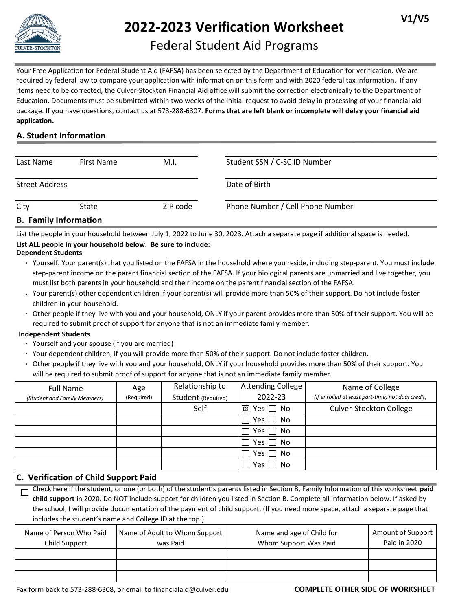

# **2022-2023 Verification Worksheet**

# Federal Student Aid Programs

Your Free Application for Federal Student Aid (FAFSA) has been selected by the Department of Education for verification. We are required by federal law to compare your application with information on this form and with 2020 federal tax information. If any items need to be corrected, the Culver-Stockton Financial Aid office will submit the correction electronically to the Department of Education. Documents must be submitted within two weeks of the initial request to avoid delay in processing of your financial aid package. If you have questions, contact us at 573-288-6307. **Forms that are left blank or incomplete will delay your financial aid application.**

# **A. Student Information**

| Last Name                   | First Name | M.I.     | Student SSN / C-SC ID Number     |  |
|-----------------------------|------------|----------|----------------------------------|--|
| <b>Street Address</b>       |            |          | Date of Birth                    |  |
| City                        | State      | ZIP code | Phone Number / Cell Phone Number |  |
| <b>R</b> Family Information |            |          |                                  |  |

# **B. Family Information**

List the people in your household between July 1, 2022 to June 30, 2023. Attach a separate page if additional space is needed.

# **List ALL people in your household below. Be sure to include:**

#### **Dependent Students**

- **∙** Yourself. Your parent(s) that you listed on the FAFSA in the household where you reside, including step-parent. You must include step-parent income on the parent financial section of the FAFSA. If your biological parents are unmarried and live together, you must list both parents in your household and their income on the parent financial section of the FAFSA.
- **∙** Your parent(s) other dependent children if your parent(s) will provide more than 50% of their support. Do not include foster children in your household.
- **∙** Other people if they live with you and your household, ONLY if your parent provides more than 50% of their support. You will be required to submit proof of support for anyone that is not an immediate family member.

#### **Independent Students**

- **∙** Yourself and your spouse (if you are married)
- **∙** Your dependent children, if you will provide more than 50% of their support. Do not include foster children.
- **∙** Other people if they live with you and your household, ONLY if your household provides more than 50% of their support. You will be required to submit proof of support for anyone that is not an immediate family member.

| <b>Full Name</b><br>(Student and Family Members) | Age<br>(Required) | Relationship to<br>Student (Required) | Attending College<br>2022-23 | Name of College<br>(if enrolled at least part-time, not dual credit) |
|--------------------------------------------------|-------------------|---------------------------------------|------------------------------|----------------------------------------------------------------------|
|                                                  |                   |                                       |                              |                                                                      |
|                                                  |                   | Self                                  | 図 Yes □ No                   | <b>Culver-Stockton College</b>                                       |
|                                                  |                   |                                       | Yes $\Box$ No                |                                                                      |
|                                                  |                   |                                       | Yes $\Box$ No                |                                                                      |
|                                                  |                   |                                       | $\Box$ Yes $\Box$ No         |                                                                      |
|                                                  |                   |                                       | Yes $\Box$ No                |                                                                      |
|                                                  |                   |                                       | Yes $\Box$ No                |                                                                      |

# **C. Verification of Child Support Paid**

Check here if the student, or one (or both) of the student's parents listed in Section B, Family Information of this worksheet **paid**   $\Box$ **child support** in 2020. Do NOT include support for children you listed in Section B. Complete all information below. If asked by the school, I will provide documentation of the payment of child support. (If you need more space, attach a separate page that includes the student's name and College ID at the top.)

| Name of Person Who Paid<br>Child Support | Name of Adult to Whom Support<br>was Paid | Name and age of Child for<br>Whom Support Was Paid | Amount of Support<br>Paid in 2020 |
|------------------------------------------|-------------------------------------------|----------------------------------------------------|-----------------------------------|
|                                          |                                           |                                                    |                                   |
|                                          |                                           |                                                    |                                   |
|                                          |                                           |                                                    |                                   |